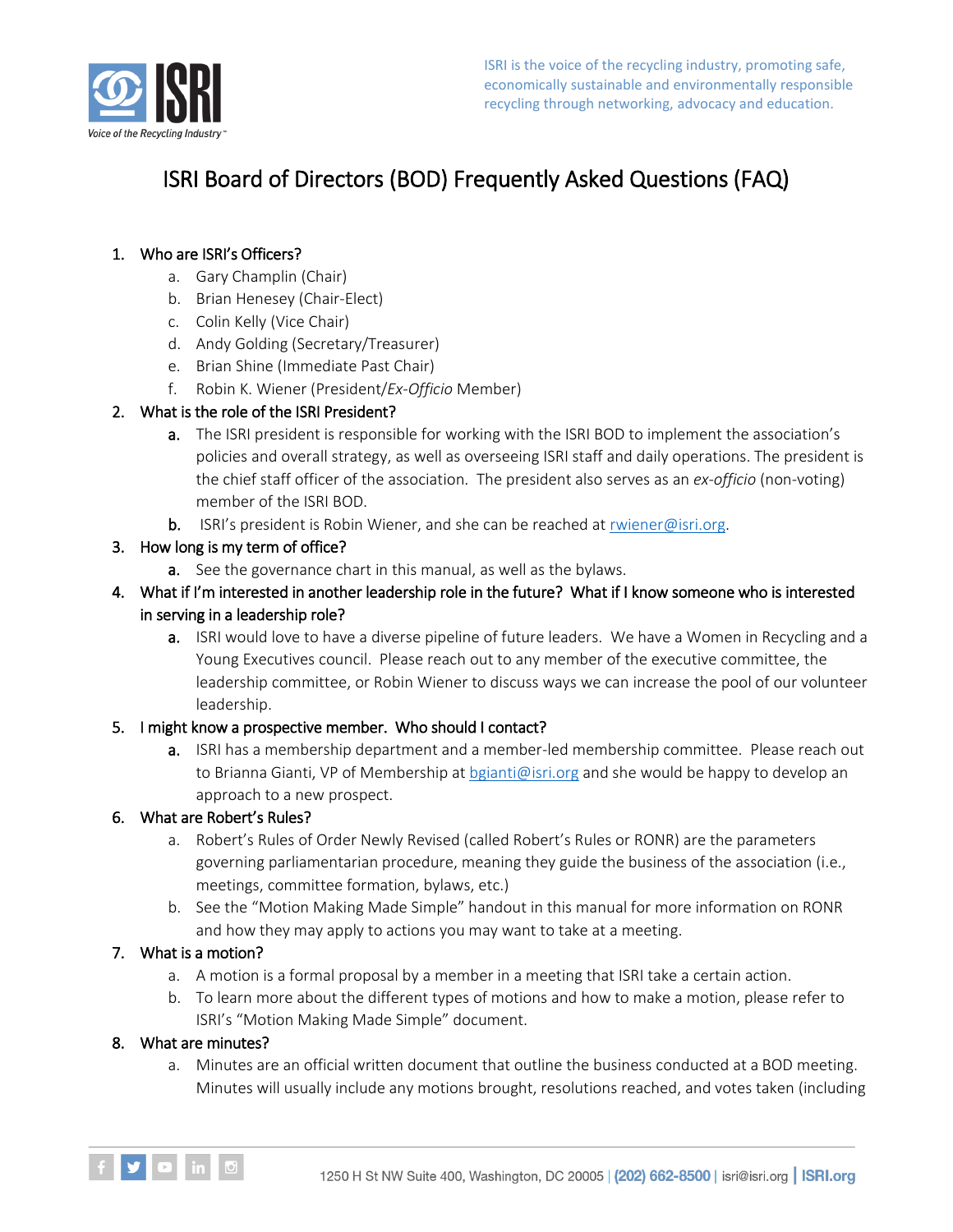

# ISRI Board of Directors (BOD) Frequently Asked Questions (FAQ)

## 1. Who are ISRI's Officers?

- a. Gary Champlin (Chair)
- b. Brian Henesey (Chair-Elect)
- c. Colin Kelly (Vice Chair)
- d. Andy Golding (Secretary/Treasurer)
- e. Brian Shine (Immediate Past Chair)
- f. Robin K. Wiener (President/*Ex-Officio* Member)

## 2. What is the role of the ISRI President?

- a. The ISRI president is responsible for working with the ISRI BOD to implement the association's policies and overall strategy, as well as overseeing ISRI staff and daily operations. The president is the chief staff officer of the association. The president also serves as an *ex-officio* (non-voting) member of the ISRI BOD.
- **b.** ISRI's president is Robin Wiener, and she can be reached at [rwiener@isri.org.](mailto:rwiener@isri.org)

### 3. How long is my term of office?

- **a.** See the governance chart in this manual, as well as the bylaws.
- 4. What if I'm interested in another leadership role in the future? What if I know someone who is interested in serving in a leadership role?
	- a. ISRI would love to have a diverse pipeline of future leaders. We have a Women in Recycling and a Young Executives council. Please reach out to any member of the executive committee, the leadership committee, or Robin Wiener to discuss ways we can increase the pool of our volunteer leadership.

#### 5. I might know a prospective member. Who should I contact?

a. ISRI has a membership department and a member-led membership committee. Please reach out to Brianna Gianti, VP of Membership a[t bgianti@isri.org](mailto:bgianti@isri.org) and she would be happy to develop an approach to a new prospect.

#### 6. What are Robert's Rules?

- a. Robert's Rules of Order Newly Revised (called Robert's Rules or RONR) are the parameters governing parliamentarian procedure, meaning they guide the business of the association (i.e., meetings, committee formation, bylaws, etc.)
- b. See the "Motion Making Made Simple" handout in this manual for more information on RONR and how they may apply to actions you may want to take at a meeting.

## 7. What is a motion?

- a. A motion is a formal proposal by a member in a meeting that ISRI take a certain action.
- b. To learn more about the different types of motions and how to make a motion, please refer to ISRI's "Motion Making Made Simple" document.

#### 8. What are minutes?

a. Minutes are an official written document that outline the business conducted at a BOD meeting. Minutes will usually include any motions brought, resolutions reached, and votes taken (including